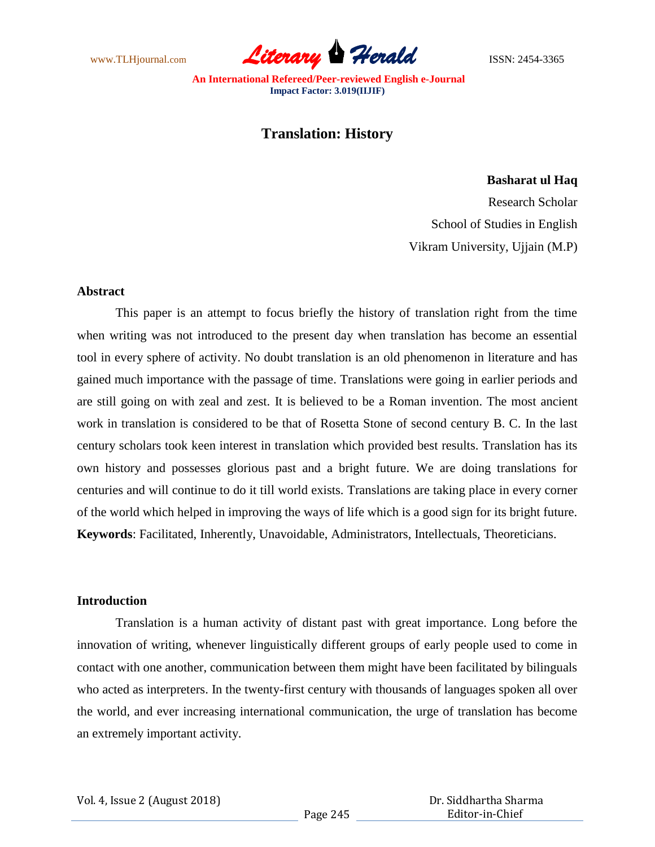www.TLHjournal.com **Literary Herald Herald** ISSN: 2454-3365

# **Translation: History**

## **Basharat ul Haq**

Research Scholar School of Studies in English Vikram University, Ujjain (M.P)

## **Abstract**

This paper is an attempt to focus briefly the history of translation right from the time when writing was not introduced to the present day when translation has become an essential tool in every sphere of activity. No doubt translation is an old phenomenon in literature and has gained much importance with the passage of time. Translations were going in earlier periods and are still going on with zeal and zest. It is believed to be a Roman invention. The most ancient work in translation is considered to be that of Rosetta Stone of second century B. C. In the last century scholars took keen interest in translation which provided best results. Translation has its own history and possesses glorious past and a bright future. We are doing translations for centuries and will continue to do it till world exists. Translations are taking place in every corner of the world which helped in improving the ways of life which is a good sign for its bright future. **Keywords**: Facilitated, Inherently, Unavoidable, Administrators, Intellectuals, Theoreticians.

# **Introduction**

Translation is a human activity of distant past with great importance. Long before the innovation of writing, whenever linguistically different groups of early people used to come in contact with one another, communication between them might have been facilitated by bilinguals who acted as interpreters. In the twenty-first century with thousands of languages spoken all over the world, and ever increasing international communication, the urge of translation has become an extremely important activity.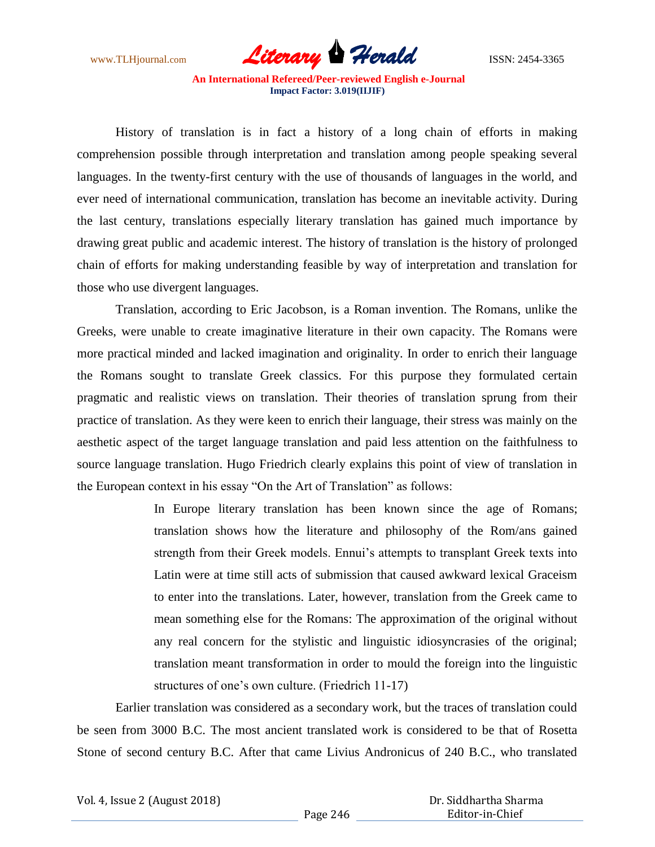

History of translation is in fact a history of a long chain of efforts in making comprehension possible through interpretation and translation among people speaking several languages. In the twenty-first century with the use of thousands of languages in the world, and ever need of international communication, translation has become an inevitable activity. During the last century, translations especially literary translation has gained much importance by drawing great public and academic interest. The history of translation is the history of prolonged chain of efforts for making understanding feasible by way of interpretation and translation for those who use divergent languages.

Translation, according to Eric Jacobson, is a Roman invention. The Romans, unlike the Greeks, were unable to create imaginative literature in their own capacity. The Romans were more practical minded and lacked imagination and originality. In order to enrich their language the Romans sought to translate Greek classics. For this purpose they formulated certain pragmatic and realistic views on translation. Their theories of translation sprung from their practice of translation. As they were keen to enrich their language, their stress was mainly on the aesthetic aspect of the target language translation and paid less attention on the faithfulness to source language translation. Hugo Friedrich clearly explains this point of view of translation in the European context in his essay "On the Art of Translation" as follows:

> In Europe literary translation has been known since the age of Romans; translation shows how the literature and philosophy of the Rom/ans gained strength from their Greek models. Ennui"s attempts to transplant Greek texts into Latin were at time still acts of submission that caused awkward lexical Graceism to enter into the translations. Later, however, translation from the Greek came to mean something else for the Romans: The approximation of the original without any real concern for the stylistic and linguistic idiosyncrasies of the original; translation meant transformation in order to mould the foreign into the linguistic structures of one's own culture. (Friedrich 11-17)

Earlier translation was considered as a secondary work, but the traces of translation could be seen from 3000 B.C. The most ancient translated work is considered to be that of Rosetta Stone of second century B.C. After that came Livius Andronicus of 240 B.C., who translated

Vol. 4, Issue 2 (August 2018)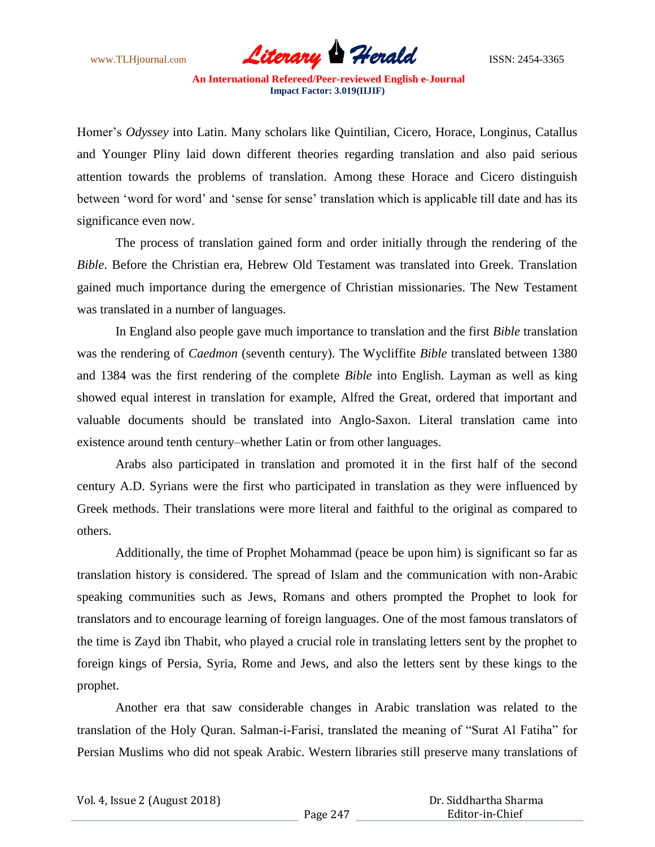

Homer"s *Odyssey* into Latin. Many scholars like Quintilian, Cicero, Horace, Longinus, Catallus and Younger Pliny laid down different theories regarding translation and also paid serious attention towards the problems of translation. Among these Horace and Cicero distinguish between 'word for word' and 'sense for sense' translation which is applicable till date and has its significance even now.

The process of translation gained form and order initially through the rendering of the *Bible*. Before the Christian era, Hebrew Old Testament was translated into Greek. Translation gained much importance during the emergence of Christian missionaries. The New Testament was translated in a number of languages.

In England also people gave much importance to translation and the first *Bible* translation was the rendering of *Caedmon* (seventh century). The Wycliffite *Bible* translated between 1380 and 1384 was the first rendering of the complete *Bible* into English. Layman as well as king showed equal interest in translation for example, Alfred the Great, ordered that important and valuable documents should be translated into Anglo-Saxon. Literal translation came into existence around tenth century–whether Latin or from other languages.

Arabs also participated in translation and promoted it in the first half of the second century A.D. Syrians were the first who participated in translation as they were influenced by Greek methods. Their translations were more literal and faithful to the original as compared to others.

Additionally, the time of Prophet Mohammad (peace be upon him) is significant so far as translation history is considered. The spread of Islam and the communication with non-Arabic speaking communities such as Jews, Romans and others prompted the Prophet to look for translators and to encourage learning of foreign languages. One of the most famous translators of the time is Zayd ibn Thabit, who played a crucial role in translating letters sent by the prophet to foreign kings of Persia, Syria, Rome and Jews, and also the letters sent by these kings to the prophet.

Another era that saw considerable changes in Arabic translation was related to the translation of the Holy Quran. Salman-i-Farisi, translated the meaning of "Surat Al Fatiha" for Persian Muslims who did not speak Arabic. Western libraries still preserve many translations of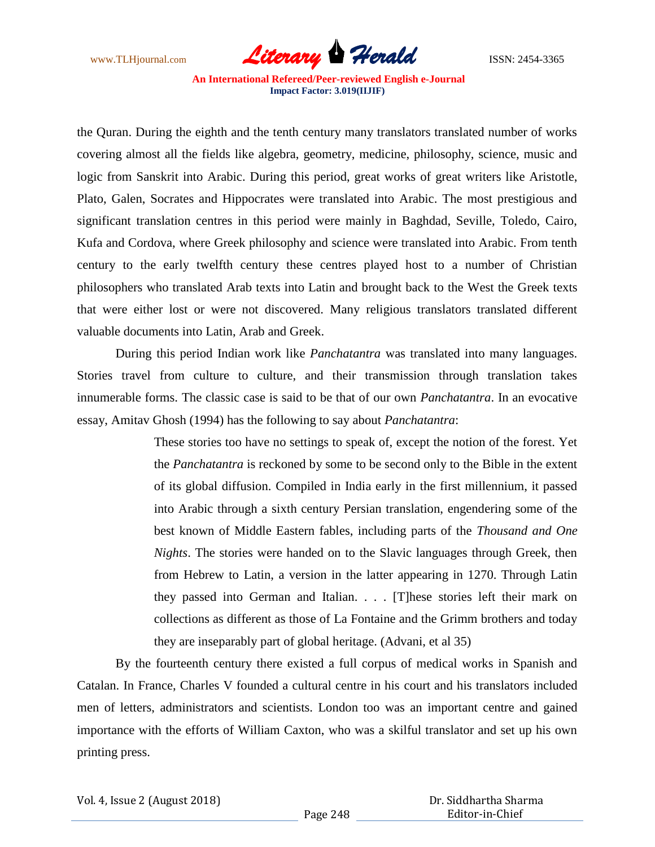

the Quran. During the eighth and the tenth century many translators translated number of works covering almost all the fields like algebra, geometry, medicine, philosophy, science, music and logic from Sanskrit into Arabic. During this period, great works of great writers like Aristotle, Plato, Galen, Socrates and Hippocrates were translated into Arabic. The most prestigious and significant translation centres in this period were mainly in Baghdad, Seville, Toledo, Cairo, Kufa and Cordova, where Greek philosophy and science were translated into Arabic. From tenth century to the early twelfth century these centres played host to a number of Christian philosophers who translated Arab texts into Latin and brought back to the West the Greek texts that were either lost or were not discovered. Many religious translators translated different valuable documents into Latin, Arab and Greek.

During this period Indian work like *Panchatantra* was translated into many languages. Stories travel from culture to culture, and their transmission through translation takes innumerable forms. The classic case is said to be that of our own *Panchatantra*. In an evocative essay, Amitav Ghosh (1994) has the following to say about *Panchatantra*:

> These stories too have no settings to speak of, except the notion of the forest. Yet the *Panchatantra* is reckoned by some to be second only to the Bible in the extent of its global diffusion. Compiled in India early in the first millennium, it passed into Arabic through a sixth century Persian translation, engendering some of the best known of Middle Eastern fables, including parts of the *Thousand and One Nights*. The stories were handed on to the Slavic languages through Greek, then from Hebrew to Latin, a version in the latter appearing in 1270. Through Latin they passed into German and Italian. . . . [T]hese stories left their mark on collections as different as those of La Fontaine and the Grimm brothers and today they are inseparably part of global heritage. (Advani, et al 35)

By the fourteenth century there existed a full corpus of medical works in Spanish and Catalan. In France, Charles V founded a cultural centre in his court and his translators included men of letters, administrators and scientists. London too was an important centre and gained importance with the efforts of William Caxton, who was a skilful translator and set up his own printing press.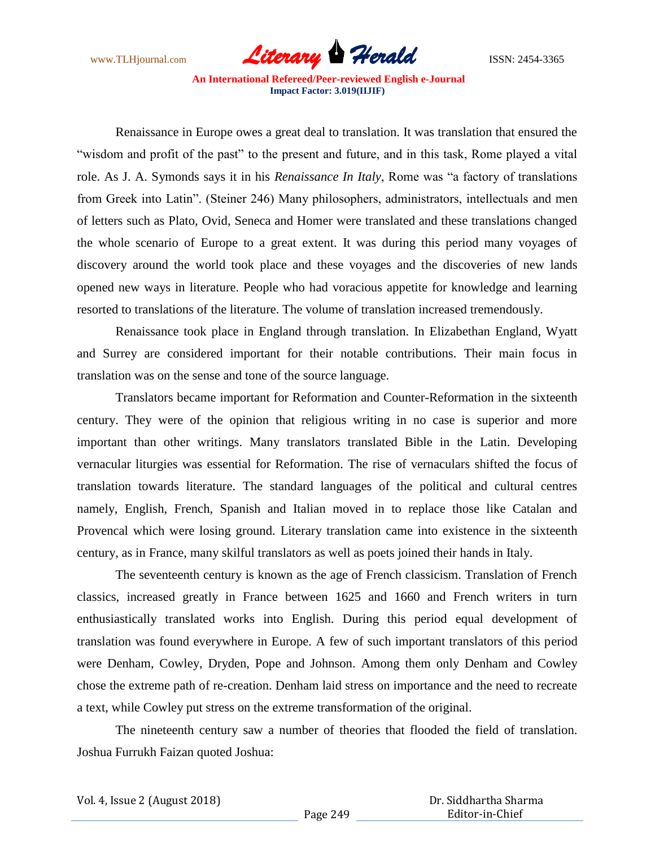

Renaissance in Europe owes a great deal to translation. It was translation that ensured the "wisdom and profit of the past" to the present and future, and in this task, Rome played a vital role. As J. A. Symonds says it in his *Renaissance In Italy*, Rome was "a factory of translations from Greek into Latin". (Steiner 246) Many philosophers, administrators, intellectuals and men of letters such as Plato, Ovid, Seneca and Homer were translated and these translations changed the whole scenario of Europe to a great extent. It was during this period many voyages of discovery around the world took place and these voyages and the discoveries of new lands opened new ways in literature. People who had voracious appetite for knowledge and learning resorted to translations of the literature. The volume of translation increased tremendously.

Renaissance took place in England through translation. In Elizabethan England, Wyatt and Surrey are considered important for their notable contributions. Their main focus in translation was on the sense and tone of the source language.

Translators became important for Reformation and Counter-Reformation in the sixteenth century. They were of the opinion that religious writing in no case is superior and more important than other writings. Many translators translated Bible in the Latin. Developing vernacular liturgies was essential for Reformation. The rise of vernaculars shifted the focus of translation towards literature. The standard languages of the political and cultural centres namely, English, French, Spanish and Italian moved in to replace those like Catalan and Provencal which were losing ground. Literary translation came into existence in the sixteenth century, as in France, many skilful translators as well as poets joined their hands in Italy.

The seventeenth century is known as the age of French classicism. Translation of French classics, increased greatly in France between 1625 and 1660 and French writers in turn enthusiastically translated works into English. During this period equal development of translation was found everywhere in Europe. A few of such important translators of this period were Denham, Cowley, Dryden, Pope and Johnson. Among them only Denham and Cowley chose the extreme path of re-creation. Denham laid stress on importance and the need to recreate a text, while Cowley put stress on the extreme transformation of the original.

The nineteenth century saw a number of theories that flooded the field of translation. Joshua Furrukh Faizan quoted Joshua: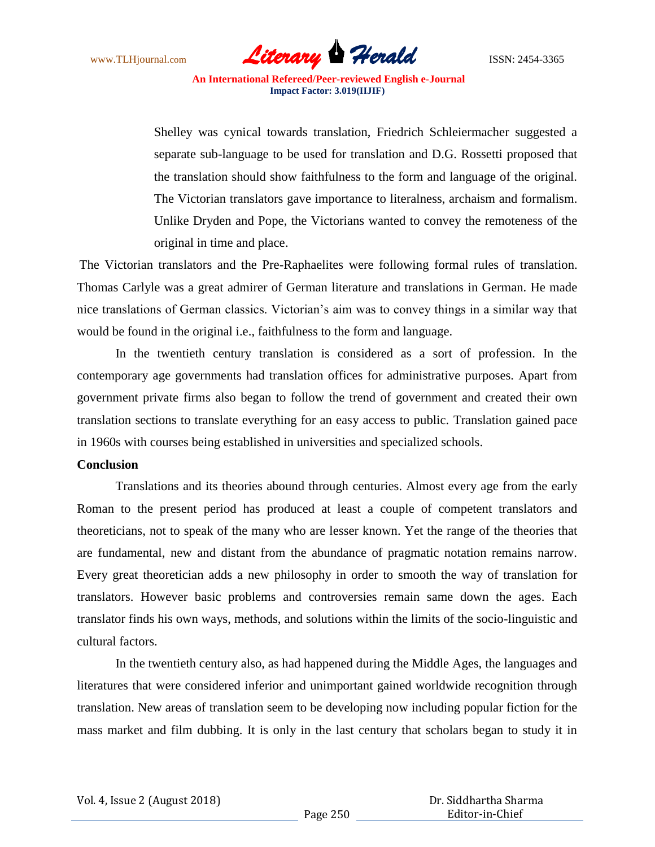

 Shelley was cynical towards translation, Friedrich Schleiermacher suggested a separate sub-language to be used for translation and D.G. Rossetti proposed that the translation should show faithfulness to the form and language of the original. The Victorian translators gave importance to literalness, archaism and formalism. Unlike Dryden and Pope, the Victorians wanted to convey the remoteness of the original in time and place.

The Victorian translators and the Pre-Raphaelites were following formal rules of translation. Thomas Carlyle was a great admirer of German literature and translations in German. He made nice translations of German classics. Victorian's aim was to convey things in a similar way that would be found in the original i.e., faithfulness to the form and language.

In the twentieth century translation is considered as a sort of profession. In the contemporary age governments had translation offices for administrative purposes. Apart from government private firms also began to follow the trend of government and created their own translation sections to translate everything for an easy access to public. Translation gained pace in 1960s with courses being established in universities and specialized schools.

## **Conclusion**

Translations and its theories abound through centuries. Almost every age from the early Roman to the present period has produced at least a couple of competent translators and theoreticians, not to speak of the many who are lesser known. Yet the range of the theories that are fundamental, new and distant from the abundance of pragmatic notation remains narrow. Every great theoretician adds a new philosophy in order to smooth the way of translation for translators. However basic problems and controversies remain same down the ages. Each translator finds his own ways, methods, and solutions within the limits of the socio-linguistic and cultural factors.

In the twentieth century also, as had happened during the Middle Ages, the languages and literatures that were considered inferior and unimportant gained worldwide recognition through translation. New areas of translation seem to be developing now including popular fiction for the mass market and film dubbing. It is only in the last century that scholars began to study it in